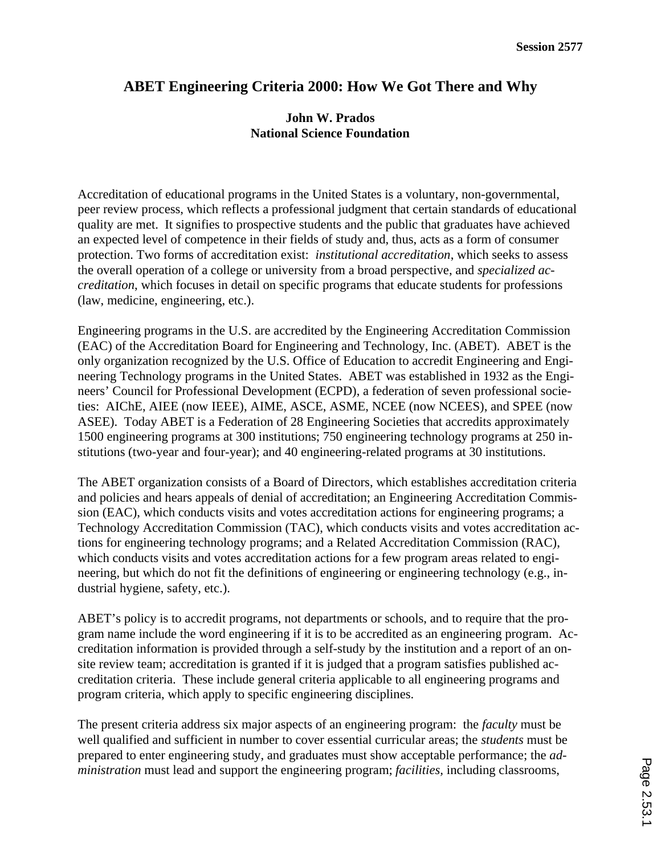## **ABET Engineering Criteria 2000: How We Got There and Why**

## **John W. Prados National Science Foundation**

Accreditation of educational programs in the United States is a voluntary, non-governmental, peer review process, which reflects a professional judgment that certain standards of educational quality are met. It signifies to prospective students and the public that graduates have achieved an expected level of competence in their fields of study and, thus, acts as a form of consumer protection. Two forms of accreditation exist: *institutional accreditation*, which seeks to assess the overall operation of a college or university from a broad perspective, and *specialized accreditation*, which focuses in detail on specific programs that educate students for professions (law, medicine, engineering, etc.).

Engineering programs in the U.S. are accredited by the Engineering Accreditation Commission (EAC) of the Accreditation Board for Engineering and Technology, Inc. (ABET). ABET is the only organization recognized by the U.S. Office of Education to accredit Engineering and Engineering Technology programs in the United States. ABET was established in 1932 as the Engineers' Council for Professional Development (ECPD), a federation of seven professional societies: AIChE, AIEE (now IEEE), AIME, ASCE, ASME, NCEE (now NCEES), and SPEE (now ASEE). Today ABET is a Federation of 28 Engineering Societies that accredits approximately 1500 engineering programs at 300 institutions; 750 engineering technology programs at 250 institutions (two-year and four-year); and 40 engineering-related programs at 30 institutions.

The ABET organization consists of a Board of Directors, which establishes accreditation criteria and policies and hears appeals of denial of accreditation; an Engineering Accreditation Commission (EAC), which conducts visits and votes accreditation actions for engineering programs; a Technology Accreditation Commission (TAC), which conducts visits and votes accreditation actions for engineering technology programs; and a Related Accreditation Commission (RAC), which conducts visits and votes accreditation actions for a few program areas related to engineering, but which do not fit the definitions of engineering or engineering technology (e.g., industrial hygiene, safety, etc.).

ABET's policy is to accredit programs, not departments or schools, and to require that the program name include the word engineering if it is to be accredited as an engineering program. Accreditation information is provided through a self-study by the institution and a report of an onsite review team; accreditation is granted if it is judged that a program satisfies published accreditation criteria. These include general criteria applicable to all engineering programs and program criteria, which apply to specific engineering disciplines.

The present criteria address six major aspects of an engineering program: the *faculty* must be well qualified and sufficient in number to cover essential curricular areas; the *students* must be prepared to enter engineering study, and graduates must show acceptable performance; the *administration* must lead and support the engineering program; *facilities,* including classrooms,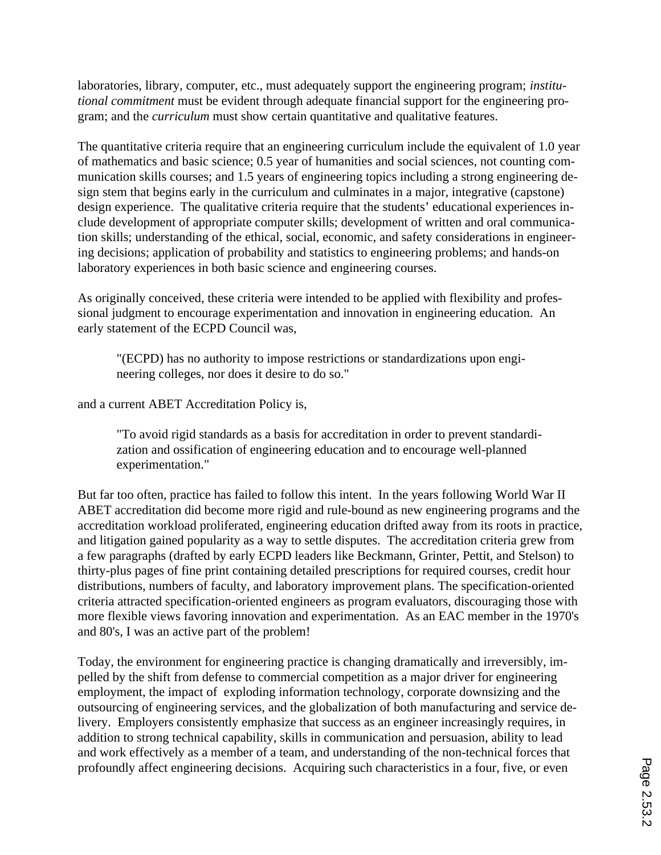laboratories, library, computer, etc., must adequately support the engineering program; *institutional commitment* must be evident through adequate financial support for the engineering program; and the *curriculum* must show certain quantitative and qualitative features.

The quantitative criteria require that an engineering curriculum include the equivalent of 1.0 year of mathematics and basic science; 0.5 year of humanities and social sciences, not counting communication skills courses; and 1.5 years of engineering topics including a strong engineering design stem that begins early in the curriculum and culminates in a major, integrative (capstone) design experience. The qualitative criteria require that the students' educational experiences include development of appropriate computer skills; development of written and oral communication skills; understanding of the ethical, social, economic, and safety considerations in engineering decisions; application of probability and statistics to engineering problems; and hands-on laboratory experiences in both basic science and engineering courses.

As originally conceived, these criteria were intended to be applied with flexibility and professional judgment to encourage experimentation and innovation in engineering education. An early statement of the ECPD Council was,

"(ECPD) has no authority to impose restrictions or standardizations upon engineering colleges, nor does it desire to do so."

and a current ABET Accreditation Policy is,

"To avoid rigid standards as a basis for accreditation in order to prevent standardization and ossification of engineering education and to encourage well-planned experimentation."

But far too often, practice has failed to follow this intent. In the years following World War II ABET accreditation did become more rigid and rule-bound as new engineering programs and the accreditation workload proliferated, engineering education drifted away from its roots in practice, and litigation gained popularity as a way to settle disputes. The accreditation criteria grew from a few paragraphs (drafted by early ECPD leaders like Beckmann, Grinter, Pettit, and Stelson) to thirty-plus pages of fine print containing detailed prescriptions for required courses, credit hour distributions, numbers of faculty, and laboratory improvement plans. The specification-oriented criteria attracted specification-oriented engineers as program evaluators, discouraging those with more flexible views favoring innovation and experimentation. As an EAC member in the 1970's and 80's, I was an active part of the problem!

Today, the environment for engineering practice is changing dramatically and irreversibly, impelled by the shift from defense to commercial competition as a major driver for engineering employment, the impact of exploding information technology, corporate downsizing and the outsourcing of engineering services, and the globalization of both manufacturing and service delivery. Employers consistently emphasize that success as an engineer increasingly requires, in addition to strong technical capability, skills in communication and persuasion, ability to lead and work effectively as a member of a team, and understanding of the non-technical forces that profoundly affect engineering decisions. Acquiring such characteristics in a four, five, or even